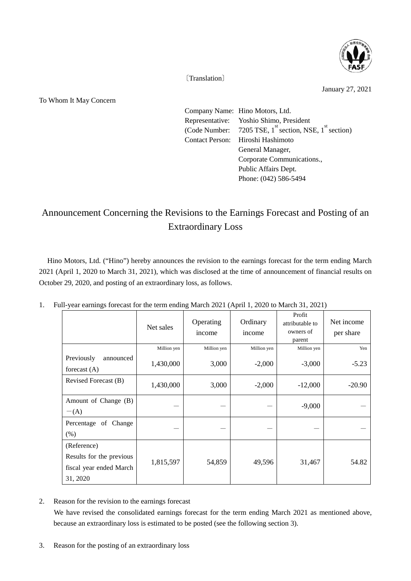

〔Translation〕

To Whom It May Concern

January 27, 2021

Company Name: Hino Motors, Ltd. Representative: Yoshio Shimo, President (Code Number: 7205 TSE,  $1^{st}$  section, NSE,  $1^{st}$  section) Contact Person: Hiroshi Hashimoto General Manager, Corporate Communications., Public Affairs Dept. Phone: (042) 586-5494

## Announcement Concerning the Revisions to the Earnings Forecast and Posting of an Extraordinary Loss

Hino Motors, Ltd. ("Hino") hereby announces the revision to the earnings forecast for the term ending March 2021 (April 1, 2020 to March 31, 2021), which was disclosed at the time of announcement of financial results on October 29, 2020, and posting of an extraordinary loss, as follows.

|                                                                                | Net sales   | Operating<br>income | Ordinary<br>income | Profit<br>attributable to<br>owners of<br>parent | Net income<br>per share |
|--------------------------------------------------------------------------------|-------------|---------------------|--------------------|--------------------------------------------------|-------------------------|
|                                                                                | Million yen | Million yen         | Million yen        | Million yen                                      | Yen                     |
| Previously<br>announced<br>forecast $(A)$                                      | 1,430,000   | 3,000               | $-2,000$           | $-3,000$                                         | $-5.23$                 |
| Revised Forecast (B)                                                           | 1,430,000   | 3,000               | $-2,000$           | $-12,000$                                        | $-20.90$                |
| Amount of Change (B)<br>$-(A)$                                                 |             |                     |                    | $-9,000$                                         |                         |
| Percentage of Change<br>(% )                                                   |             |                     |                    |                                                  |                         |
| (Reference)<br>Results for the previous<br>fiscal year ended March<br>31, 2020 | 1,815,597   | 54,859              | 49,596             | 31,467                                           | 54.82                   |

1. Full-year earnings forecast for the term ending March 2021 (April 1, 2020 to March 31, 2021)

2. Reason for the revision to the earnings forecast

 We have revised the consolidated earnings forecast for the term ending March 2021 as mentioned above, because an extraordinary loss is estimated to be posted (see the following section 3).